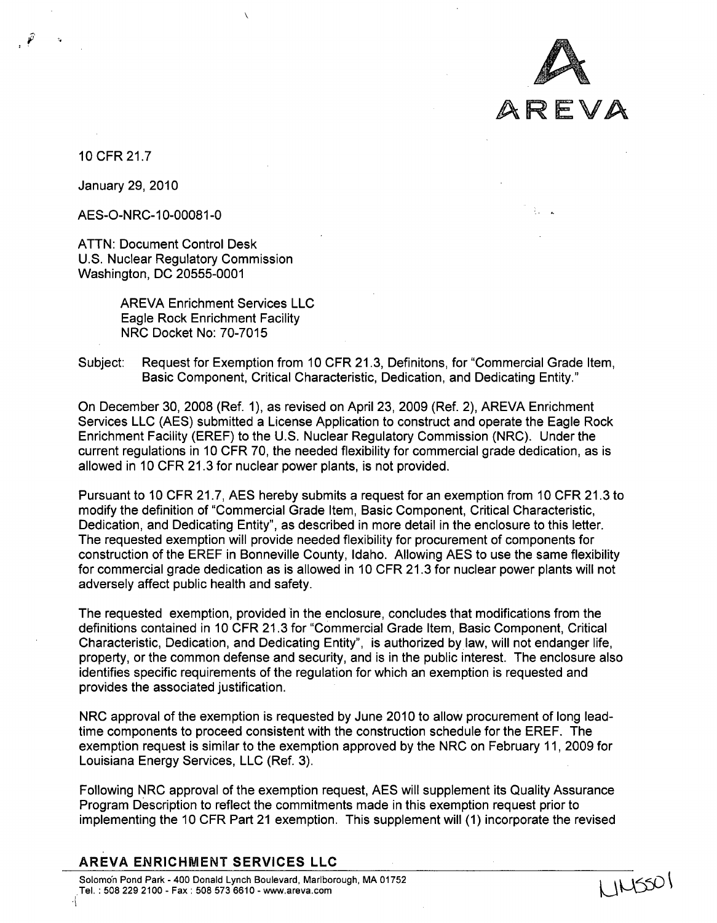

JNSSOI

10 CFR 21.7

January 29, 2010

AES-O-NRC-10-00081-0

ATTN: Document Control Desk U.S. Nuclear Regulatory Commission Washington, DC 20555-0001

> AREVA Enrichment Services LLC Eagle Rock Enrichment Facility NRC Docket No: 70-7015

 $\lambda$ 

Subject: Request for Exemption from 10 CFR 21.3, Definitons, for "Commercial Grade Item, Basic Component, Critical Characteristic, Dedication, and Dedicating Entity."

On December 30, 2008 (Ref. 1), as revised on April 23, 2009 (Ref. 2), AREVA Enrichment Services LLC (AES) submitted a License Application to construct and operate the Eagle Rock Enrichment Facility (EREF) to the U.S. Nuclear Regulatory Commission (NRC). Under the current regulations in 10 CFR 70, the needed flexibility for commercial grade dedication, as is allowed in 10 CFR 21.3 for nuclear power plants, is not provided.

Pursuant to 10 CFR 21.7, AES hereby submits a request for an exemption from 10 CFR 21.3 to modify the definition of "Commercial Grade Item, Basic Component, Critical Characteristic, Dedication, and Dedicating Entity", as described in more detail in the enclosure to this letter. The requested exemption will provide needed flexibility for procurement of components for construction of the EREF in Bonneville County, Idaho. Allowing AES to use the same flexibility for commercial grade dedication as is allowed in 10 CFR 21.3 for nuclear power plants will not adversely affect public health and safety.

The requested exemption, provided in the enclosure, concludes that modifications from the definitions contained in 10 CFR 21.3 for "Commercial Grade Item, Basic Component, Critical Characteristic, Dedication, and Dedicating Entity", is authorized by law, will not endanger life, property, or the common defense and security, and is in the public interest. The enclosure also identifies specific requirements of the regulation for which an exemption is requested and provides the associated justification.

NRC approval of the exemption is requested by June 2010 to allow procurement of long leadtime components to proceed consistent with the construction schedule for the EREF. The exemption request is similar to the exemption approved by the NRC on February 11, 2009 for Louisiana Energy Services, LLC (Ref. 3).

Following NRC approval of the exemption request, AES will supplement its Quality Assurance Program Description to reflect the commitments made in this exemption request prior to implementing the 10 CFR Part 21 exemption. This supplement will (1) incorporate the revised

AREVA **ENRICHMENT SERVICES LLC**

Solomon Pond Park - 400 Donald Lynch Boulevard, Marlborough, MA 01752 Tel. :508 229 2100 - Fax: 508 573 6610 **-** www.areva.com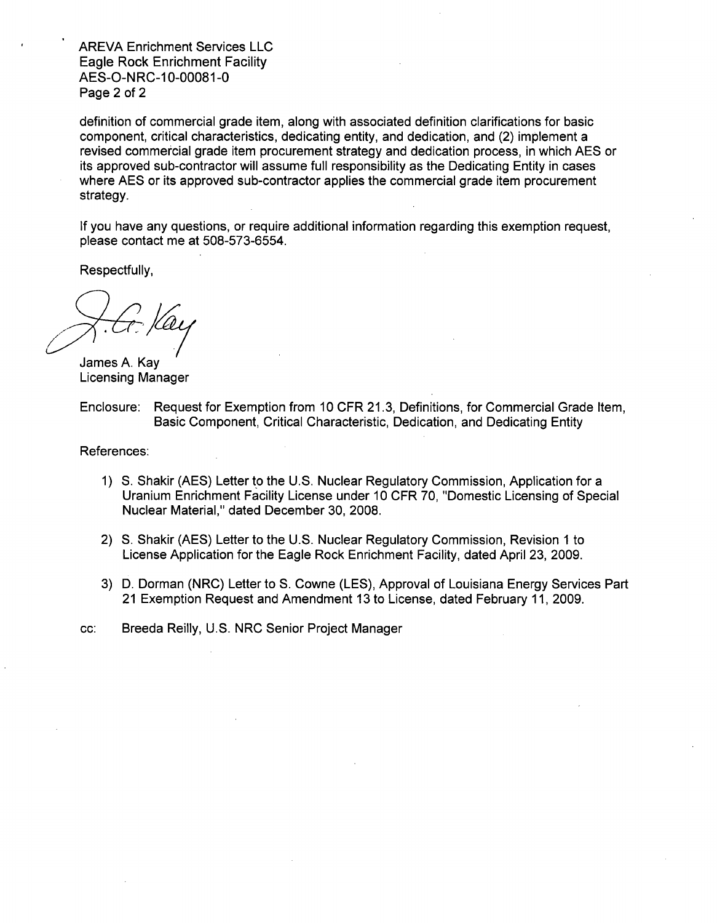AREVA Enrichment Services LLC Eagle Rock Enrichment Facility AES-O-NRC-10-00081-0 Page 2 of 2

definition of commercial grade item, along with associated definition clarifications for basic component, critical characteristics, dedicating entity, and dedication, and (2) implement a revised commercial grade item procurement strategy and dedication process, in which AES or its approved sub-contractor will assume full responsibility as the Dedicating Entity in cases where AES or its approved sub-contractor applies the commercial grade item procurement strategy.

If you have any questions, or require additional information regarding this exemption request, please contact me at 508-573-6554.

Respectfully,

James A. Kay Licensing Manager

Enclosure: Request for Exemption from 10 CFR 21.3, Definitions, for Commercial Grade Item, Basic Component, Critical Characteristic, Dedication, and Dedicating Entity

References:

- 1) **S.** Shakir (AES) Letter to the U.S. Nuclear Regulatory Commission, Application for a Uranium Enrichment Facility License under 10 CFR 70, "Domestic Licensing of Special Nuclear Material," dated December 30, 2008.
- 2) **S.** Shakir (AES) Letter to the U.S. Nuclear Regulatory Commission, Revision 1 to License Application for the Eagle Rock Enrichment Facility, dated April 23, 2009.
- 3) D. Dorman (NRC) Letter to S. Cowne (LES), Approval of Louisiana Energy Services Part 21 Exemption Request and Amendment 13 to License, dated February 11, 2009.

cc: Breeda Reilly, U.S. NRC Senior Project Manager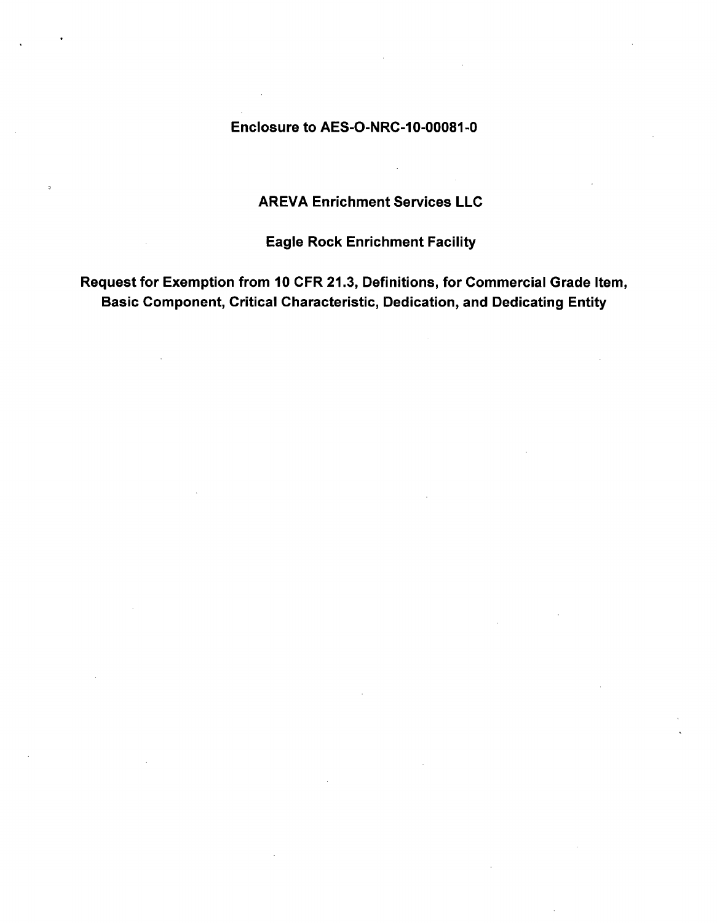# Enclosure to AES-O-NRC-10-00081-0

# AREVA Enrichment Services LLC

Eagle Rock Enrichment Facility

Request for Exemption from 10 CFR 21.3, Definitions, for Commercial Grade Item, Basic Component, Critical Characteristic, Dedication, and Dedicating Entity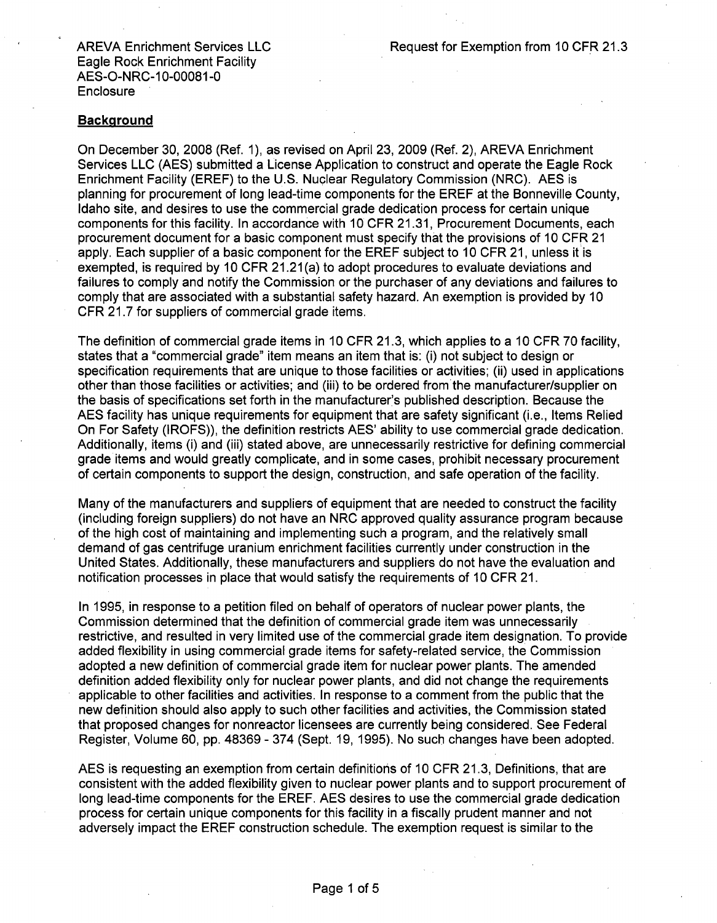#### Background

On December 30, 2008 (Ref. 1), as revised on April 23, 2009 (Ref. 2), AREVA Enrichment Services LLC (AES) submitted a License Application to construct and operate the Eagle Rock Enrichment Facility (EREF) to the U.S. Nuclear Regulatory Commission (NRC). AES is planning for procurement of long lead-time components for the EREF at the Bonneville County, Idaho site, and desires to use the commercial grade dedication process for certain unique components for this facility. In accordance with 10 CFR 21.31, Procurement Documents, each procurement document for a basic component must specify that the provisions of 10 CFR 21 apply. Each supplier of a basic component for the EREF subject to 10 CFR 21, unless it is exempted, is required by 10 CFR 21.21(a) to adopt procedures to evaluate deviations and failures to comply and notify the Commission or the purchaser of any deviations and failures to comply that are associated with a substantial safety hazard. An exemption is provided by 10 CFR 21.7 for suppliers of commercial grade items.

The definition of commercial grade items in 10 CFR 21.3, which applies to a 10 CFR 70 facility, states that a "commercial grade" item means an item that is: (i) not subject to design or specification requirements that are unique to those facilities or activities; (ii) used in applications other than those facilities or activities; and (iii) to be ordered from the manufacturer/supplier on the basis of specifications set forth in the manufacturer's published description. Because the AES facility has unique requirements for equipment that are safety significant (i.e., Items Relied On For Safety (IROFS)), the definition restricts AES' ability to use commercial grade dedication. Additionally, items (i) and (iii) stated above, are unnecessarily restrictive for defining commercial grade items and would greatly complicate, and in some cases, prohibit necessary procurement of certain components to support the design, construction, and safe operation of the facility.

Many of the manufacturers and suppliers of equipment that are needed to construct the facility (including foreign suppliers) do not have an NRC approved quality assurance program because of the high cost of maintaining and implementing such a program, and the relatively small demand of gas centrifuge uranium enrichment facilities currently under construction in the United States. Additionally, these manufacturers and suppliers do not have the evaluation and notification processes in place that would satisfy the requirements of 10 CFR 21.

In 1995, in response to a petition filed on behalf of operators of nuclear power plants, the Commission determined that the definition of commercial grade item was unnecessarily restrictive, and resulted in very limited use of the commercial grade item designation. To provide added flexibility in using commercial grade items for safety-related service, the Commission adopted a new definition of commercial grade item for nuclear power plants. The amended definition added flexibility only for nuclear power plants, and did not change the requirements applicable to other facilities and activities. In response to a comment from the public that the new definition should also apply to such other facilities and activities, the Commission stated that proposed changes for nonreactor licensees are currently being considered. See Federal Register, Volume 60, pp. 48369 - 374 (Sept. 19, 1995). No such changes have been adopted.

AES is requesting an exemption from certain definitions of 10 CFR 21.3, Definitions, that are consistent with the added flexibility given to nuclear power plants and to support procurement of long lead-time components for the EREF. AES desires to use the commercial grade dedication process for certain unique components for this facility in a fiscally prudent manner and not adversely impact the EREF construction schedule. The exemption request is similar to the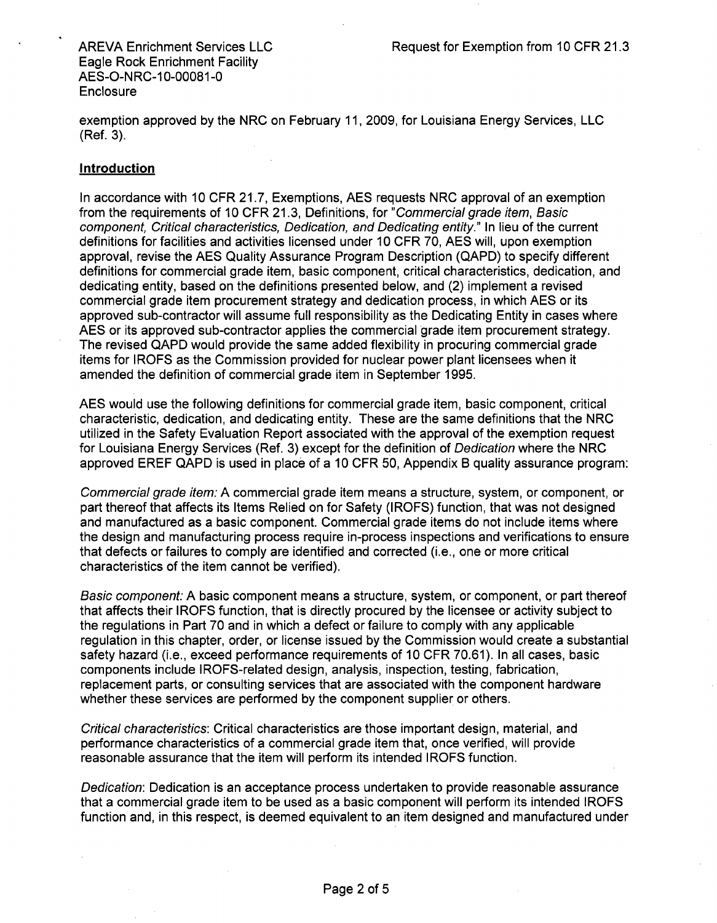exemption approved by the NRC on February 11, 2009, for Louisiana Energy Services, LLC (Ref. 3).

## Introduction

In accordance with 10 CFR 21.7, Exemptions, AES requests NRC approval of an exemption from the requirements of 10 CFR 21.3, Definitions, for *"Commercial grade item, Basic component, Critical characteristics, Dedication, and Dedicating entity."* In lieu of the current definitions for facilities and activities licensed under 10 CFR 70, AES will, upon exemption approval, revise the AES Quality Assurance Program Description (QAPD) to specify different definitions for commercial grade item, basic component, critical characteristics, dedication, and dedicating entity, based on the definitions presented below, and (2) implement a revised commercial grade item procurement strategy and dedication process, in which AES or its approved sub-contractor will assume full responsibility as the Dedicating Entity in cases where AES or its approved sub-contractor applies the commercial grade item procurement strategy. The revised QAPD would provide the same added flexibility in procuring commercial grade items for IROFS as the Commission provided for nuclear power plant licensees when it amended the definition of commercial grade item in September 1995.

AES would use the following definitions for commercial grade item, basic component, critical characteristic, dedication, and dedicating entity. These are the same definitions that the NRC utilized in the Safety Evaluation Report associated with the approval of the exemption request for Louisiana Energy Services (Ref. 3) except for the definition of *Dedication* where the NRC approved EREF QAPD is used in place of a 10 CFR 50, Appendix B quality assurance program:

*Commercial grade item:* A commercial grade item means a structure, system, or component, or part thereof that affects its Items Relied on for Safety (IROFS) function, that was not designed and manufactured as a basic component. Commercial grade items do not include items where the design and manufacturing process require in-process inspections and verifications to ensure that defects or failures to comply are identified and corrected (i.e., one or more critical characteristics of the item cannot be verified).

*Basic component:* A basic component means a structure, system, or component, or part thereof that affects their IROFS function, that is directly procured by the licensee or activity subject to the regulations in Part 70 and in which a defect or failure to comply with any applicable regulation in this chapter, order, or license issued by the Commission would create a substantial safety hazard (i.e., exceed performance requirements of 10 CFR 70.61). In all cases, basic components include IROFS-related design, analysis, inspection, testing, fabrication, replacement parts, or consulting services that are associated with the component hardware whether these services are performed by the component supplier or others.

*Critical characteristics:* Critical characteristics are those important design, material, and performance characteristics of a commercial grade item that, once verified, will provide reasonable assurance that the item will perform its intended IROFS function.

*Dedication:* Dedication is an acceptance process undertaken to provide reasonable assurance that a commercial grade item to be used as a basic component will perform its intended IROFS function and, in this respect, is deemed equivalent to an item designed and manufactured under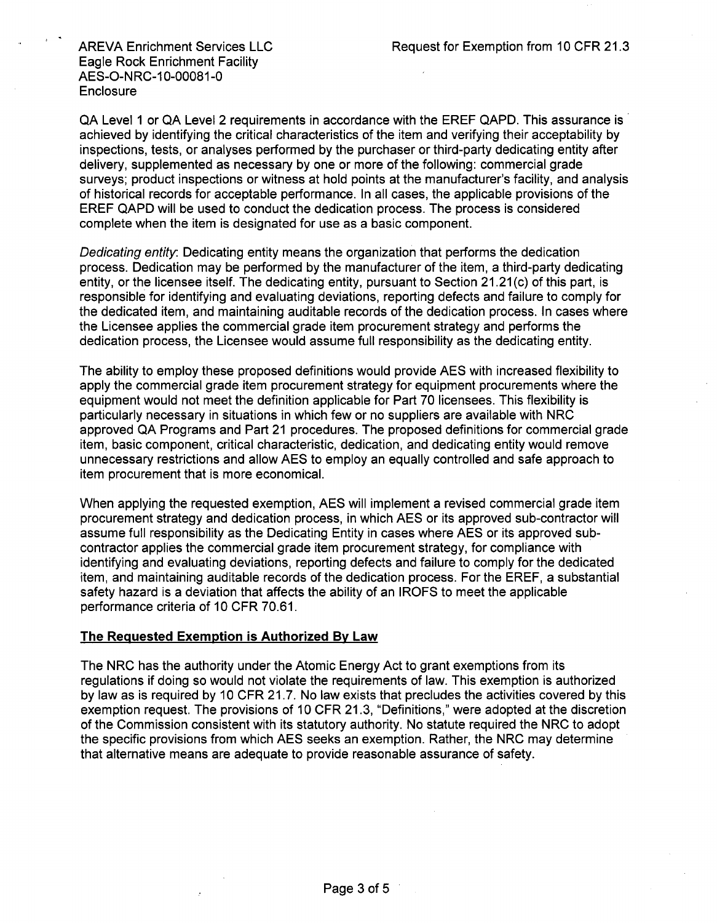QA Level **1** or QA Level 2 requirements in accordance with the EREF QAPD. This assurance is achieved by identifying the critical characteristics of the item and verifying their acceptability by inspections, tests, or analyses performed by the purchaser or third-party dedicating entity after delivery, supplemented as necessary by one or more of the following: commercial grade surveys; product inspections or witness at hold points at the manufacturer's facility, and analysis of historical records for acceptable performance. In all cases, the applicable provisions of the EREF QAPD will be used to conduct the dedication process. The process is considered complete when the item is designated for use as a basic component.

*Dedicating entity:* Dedicating entity means the organization that performs the dedication process. Dedication may be performed by the manufacturer of the item, a third-party dedicating entity, or the licensee itself. The dedicating entity, pursuant to Section 21.21(c) of this part, is responsible for identifying and evaluating deviations, reporting defects and failure to comply for the dedicated item, and maintaining auditable records of the dedication process. In cases where the Licensee applies the commercial grade item procurement strategy and performs the dedication process, the Licensee would assume full responsibility as the dedicating entity.

The ability to employ these proposed definitions would provide AES with increased flexibility to apply the commercial grade item procurement strategy for equipment procurements where the equipment would not meet the definition applicable for Part 70 licensees. This flexibility is particularly necessary in situations in which few or no suppliers are available with NRC approved QA Programs and Part 21 procedures. The proposed definitions for commercial grade item, basic component, critical characteristic, dedication, and dedicating entity would remove unnecessary restrictions and allow AES to employ an equally controlled and safe approach to item procurement that is more economical.

When applying the requested exemption, AES will implement a revised commercial grade item procurement strategy and dedication process, in which AES or its approved sub-contractor will assume full responsibility as the Dedicating Entity in cases where AES or its approved subcontractor applies the commercial grade item procurement strategy, for compliance with identifying and evaluating deviations, reporting defects and failure to comply for the dedicated item, and maintaining auditable records of the dedication process. For the EREF, a substantial safety hazard is a deviation that affects the ability of an IROFS to meet the applicable performance criteria of 10 CFR 70.61.

#### The Requested Exemption is Authorized By Law

The NRC has the authority under the Atomic Energy Act to grant exemptions from its regulations if doing so would not violate the requirements of law. This exemption is authorized by law as is required by 10 CFR 21.7. No law exists that precludes the activities covered by this exemption request. The provisions of 10 CFR 21.3, "Definitions," were adopted at the discretion of the Commission consistent with its statutory authority. No statute required the NRC to adopt the specific provisions from which AES seeks an exemption. Rather, the NRC may determine that alternative means are adequate to provide reasonable assurance of safety.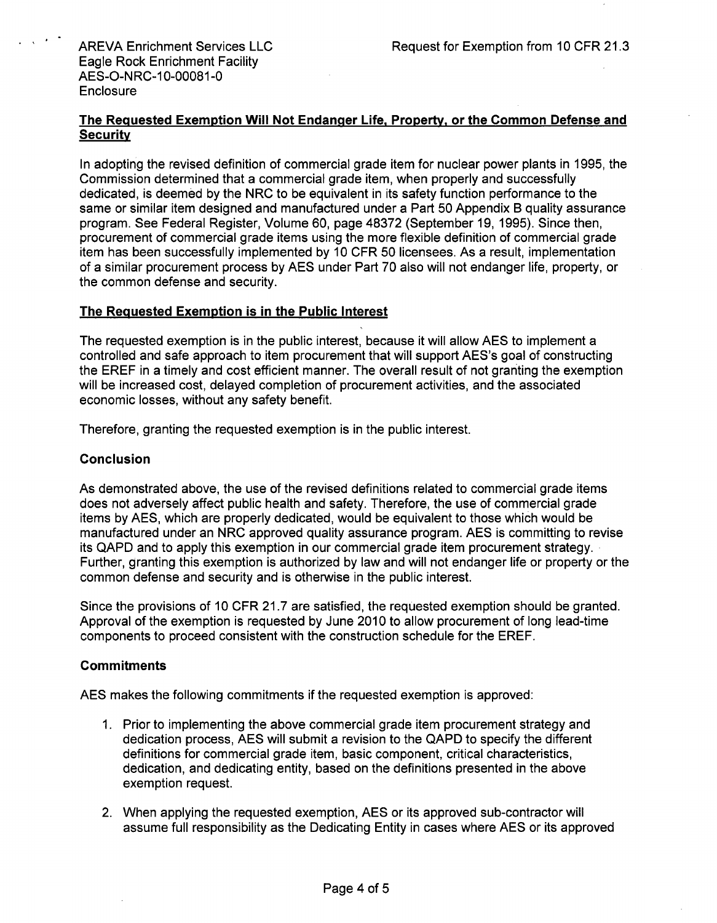## The Requested Exemption Will Not Endanger Life, Property, or the Common Defense and **Security**

In adopting the revised definition of commercial grade item for nuclear power plants in 1995, the Commission determined that a commercial grade item, when properly and successfully dedicated, is deemed by the NRC to be equivalent in its safety function performance to the same or similar item designed and manufactured under a Part 50 Appendix B quality assurance program. See Federal Register, Volume 60, page 48372 (September 19, 1995). Since then, procurement of commercial grade items using the more flexible definition of commercial grade item has been successfully implemented by 10 CFR 50 licensees. As a result, implementation of a similar procurement process by AES under Part 70 also will not endanger life, property, or the common defense and security.

## The Requested Exemption is in the Public Interest

The requested exemption is in the public interest, because it will allow **AES** to implement a controlled and safe approach to item procurement that will support AES's goal of constructing the EREF in a timely and cost efficient manner. The overall result of not granting the exemption will be increased cost, delayed completion of procurement activities, and the associated economic losses, without any safety benefit.

Therefore, granting the requested exemption is in the public interest.

### Conclusion

As demonstrated above, the use of the revised definitions related to commercial grade items does not adversely affect public health and safety. Therefore, the use of commercial grade items by AES, which are properly dedicated, would be equivalent to those which would be manufactured under an NRC approved quality assurance program. AES is committing to revise its QAPD and to apply this exemption in our commercial grade item procurement strategy. Further, granting this exemption is authorized by law and will not endanger life or property or the common defense and security and is otherwise in the public interest.

Since the provisions of 10 CFR 21.7 are satisfied, the requested exemption should be granted. Approval of the exemption is requested by June 2010 to allow procurement of long lead-time components to proceed consistent with the construction schedule for the EREF.

#### **Commitments**

AES makes the following commitments if the requested exemption is approved:

- 1. Prior to implementing the above commercial grade item procurement strategy and dedication process, AES will submit a revision to the QAPD to specify the different definitions for commercial grade item, basic component, critical characteristics, dedication, and dedicating entity, based on the definitions presented in the above exemption request.
- 2. When applying the requested exemption, AES or its approved sub-contractor will assume full responsibility as the Dedicating Entity in cases where AES or its approved